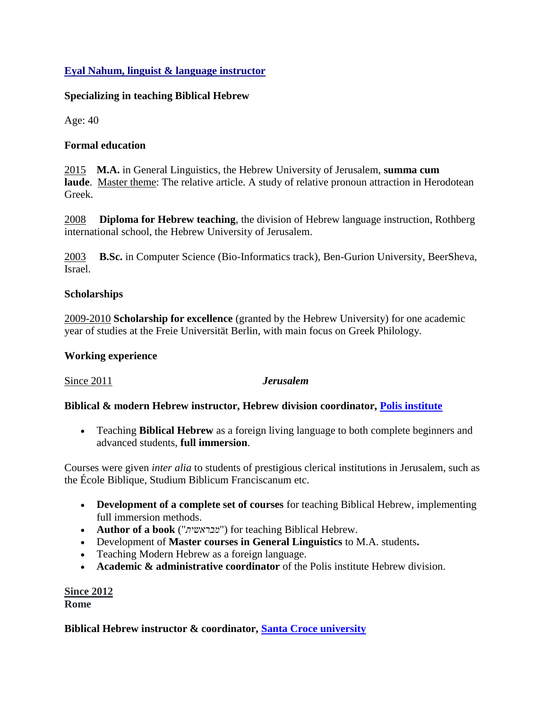# **Eyal Nahum, linguist & language instructor**

## **Specializing in teaching Biblical Hebrew**

Age: 40

## **Formal education**

2015 **M.A.** in General Linguistics, the Hebrew University of Jerusalem, **summa cum laude**. Master theme: The relative article. A study of relative pronoun attraction in Herodotean Greek.

2008 **Diploma for Hebrew teaching**, the division of Hebrew language instruction, Rothberg international school, the Hebrew University of Jerusalem.

2003 **B.Sc.** in Computer Science (Bio-Informatics track), Ben-Gurion University, BeerSheva, Israel.

### **Scholarships**

2009-2010 **Scholarship for excellence** (granted by the Hebrew University) for one academic year of studies at the Freie Universität Berlin, with main focus on Greek Philology.

### **Working experience**

Since 2011 *Jerusalem* 

# **Biblical & modern Hebrew instructor, Hebrew division coordinator, [Polis institute](http://www.polisjerusalem.org/)**

 Teaching **Biblical Hebrew** as a foreign living language to both complete beginners and advanced students, **full immersion**.

Courses were given *inter alia* to students of prestigious clerical institutions in Jerusalem, such as the École Biblique, Studium Biblicum Franciscanum etc.

- **Development of a complete set of courses** for teaching Biblical Hebrew, implementing full immersion methods.
- **Author of a book** ("*מבראשית* ("for teaching Biblical Hebrew.
- Development of **Master courses in General Linguistics** to M.A. students**.**
- Teaching Modern Hebrew as a foreign language.
- **Academic & administrative coordinator** of the Polis institute Hebrew division.

### **Since 2012 Rome**

# **Biblical Hebrew instructor & coordinator, [Santa Croce university](http://en.pusc.it/news/2015/07/09/corsi-intensivi-di-lingua-latina-greca-ed-ebraica-dal-13-luglio)**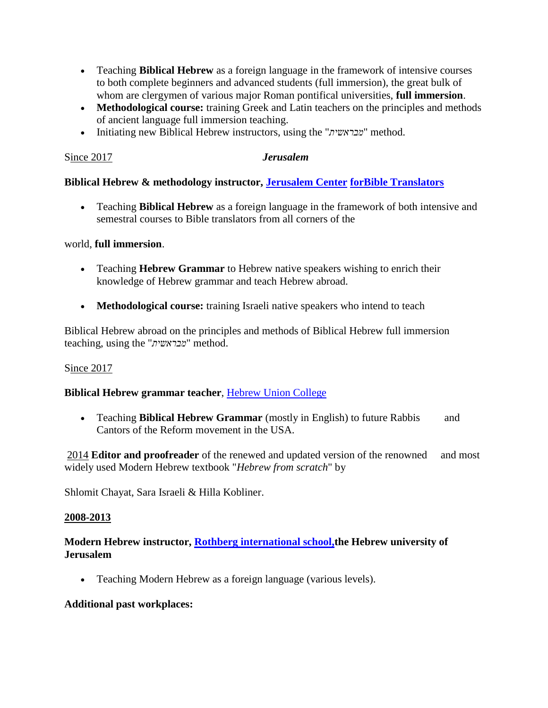- Teaching **Biblical Hebrew** as a foreign language in the framework of intensive courses to both complete beginners and advanced students (full immersion), the great bulk of whom are clergymen of various major Roman pontifical universities, **full immersion**.
- Methodological course: training Greek and Latin teachers on the principles and methods of ancient language full immersion teaching.
- Initiating new Biblical Hebrew instructors, using the "*מבראשית* "method.

## Since 2017*Jerusalem*

# **Biblical Hebrew & methodology instructor, [Jerusalem Center](http://eng.bibletranslators.org/) [forBible Translators](http://eng.bibletranslators.org/)**

 Teaching **Biblical Hebrew** as a foreign language in the framework of both intensive and semestral courses to Bible translators from all corners of the

### world, **full immersion**.

- Teaching **Hebrew Grammar** to Hebrew native speakers wishing to enrich their knowledge of Hebrew grammar and teach Hebrew abroad.
- **Methodological course:** training Israeli native speakers who intend to teach

Biblical Hebrew abroad on the principles and methods of Biblical Hebrew full immersion teaching, using the "*מבראשית* "method.

# Since 2017

# **Biblical Hebrew grammar teacher**, [Hebrew Union College](http://huc.edu/)

 Teaching **Biblical Hebrew Grammar** (mostly in English) to future Rabbis and Cantors of the Reform movement in the USA.

2014 **Editor and proofreader** of the renewed and updated version of the renowned and most widely used Modern Hebrew textbook "*Hebrew from scratch*" by

Shlomit Chayat, Sara Israeli & Hilla Kobliner.

### **2008-2013**

# **Modern Hebrew instructor, [Rothberg international school,t](https://overseas.huji.ac.il/)he Hebrew university of Jerusalem**

Teaching Modern Hebrew as a foreign language (various levels).

### **Additional past workplaces:**